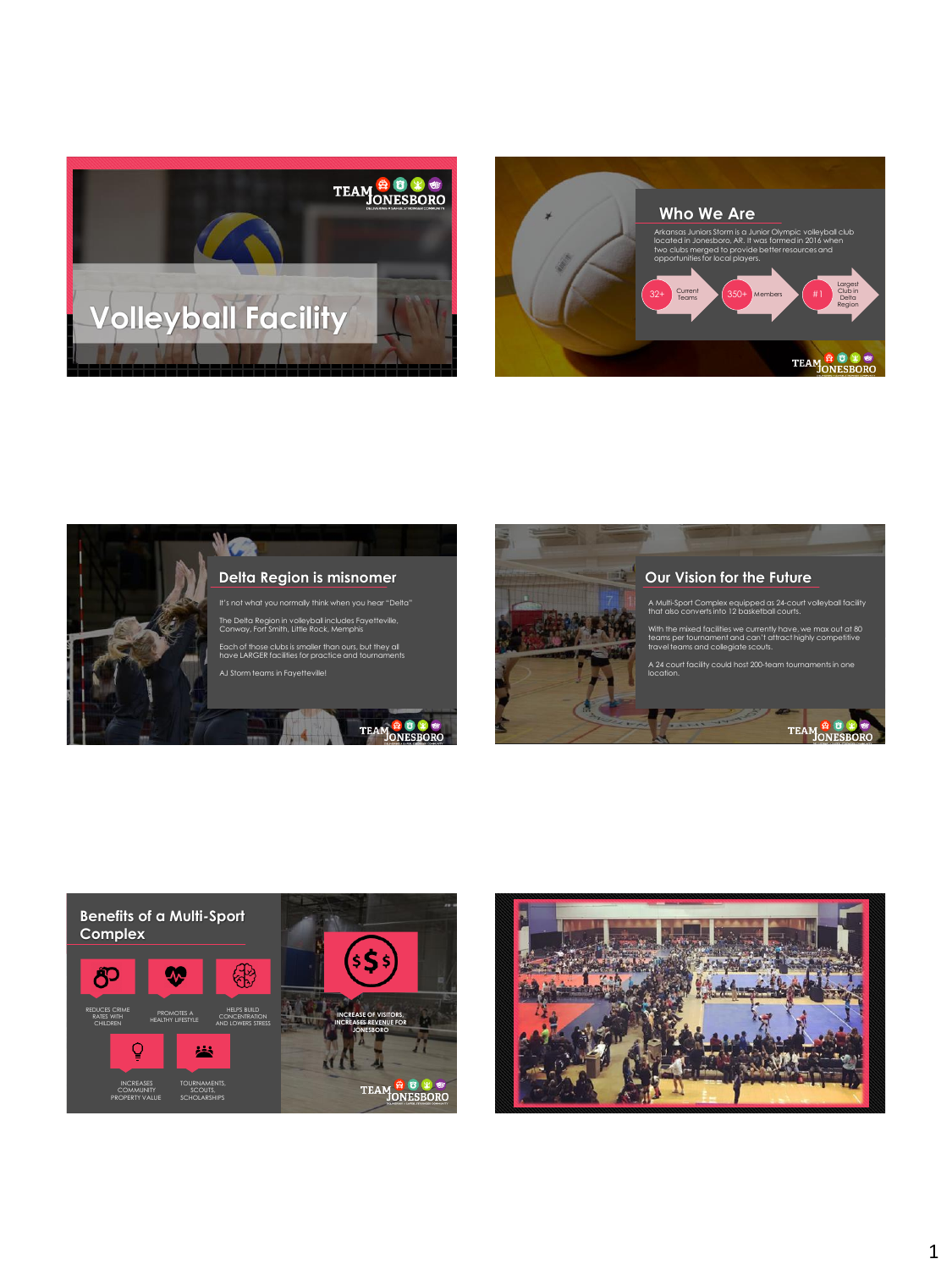